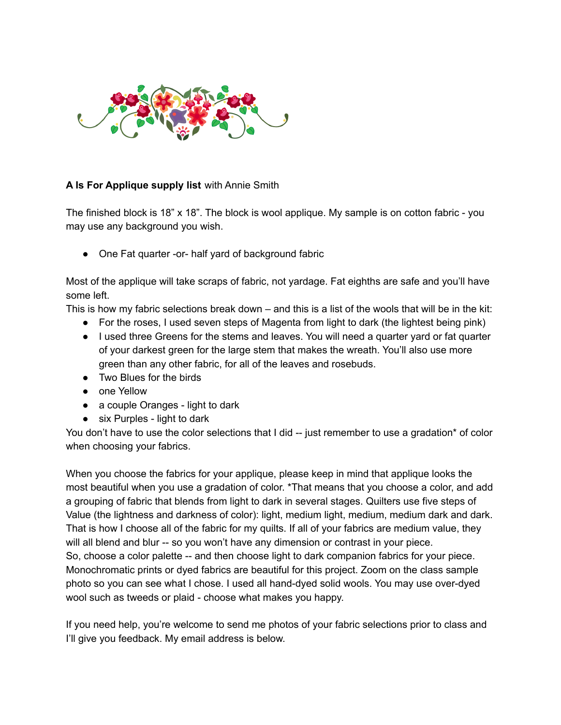

## **A Is For Applique supply list** with Annie Smith

The finished block is 18" x 18". The block is wool applique. My sample is on cotton fabric - you may use any background you wish.

● One Fat quarter -or- half yard of background fabric

Most of the applique will take scraps of fabric, not yardage. Fat eighths are safe and you'll have some left.

This is how my fabric selections break down – and this is a list of the wools that will be in the kit:

- For the roses, I used seven steps of Magenta from light to dark (the lightest being pink)
- I used three Greens for the stems and leaves. You will need a quarter yard or fat quarter of your darkest green for the large stem that makes the wreath. You'll also use more green than any other fabric, for all of the leaves and rosebuds.
- Two Blues for the birds
- one Yellow
- a couple Oranges light to dark
- $\bullet$  six Purples light to dark

You don't have to use the color selections that I did -- just remember to use a gradation\* of color when choosing your fabrics.

When you choose the fabrics for your applique, please keep in mind that applique looks the most beautiful when you use a gradation of color. \*That means that you choose a color, and add a grouping of fabric that blends from light to dark in several stages. Quilters use five steps of Value (the lightness and darkness of color): light, medium light, medium, medium dark and dark. That is how I choose all of the fabric for my quilts. If all of your fabrics are medium value, they will all blend and blur -- so you won't have any dimension or contrast in your piece. So, choose a color palette -- and then choose light to dark companion fabrics for your piece. Monochromatic prints or dyed fabrics are beautiful for this project. Zoom on the class sample photo so you can see what I chose. I used all hand-dyed solid wools. You may use over-dyed wool such as tweeds or plaid - choose what makes you happy.

If you need help, you're welcome to send me photos of your fabric selections prior to class and I'll give you feedback. My email address is below.